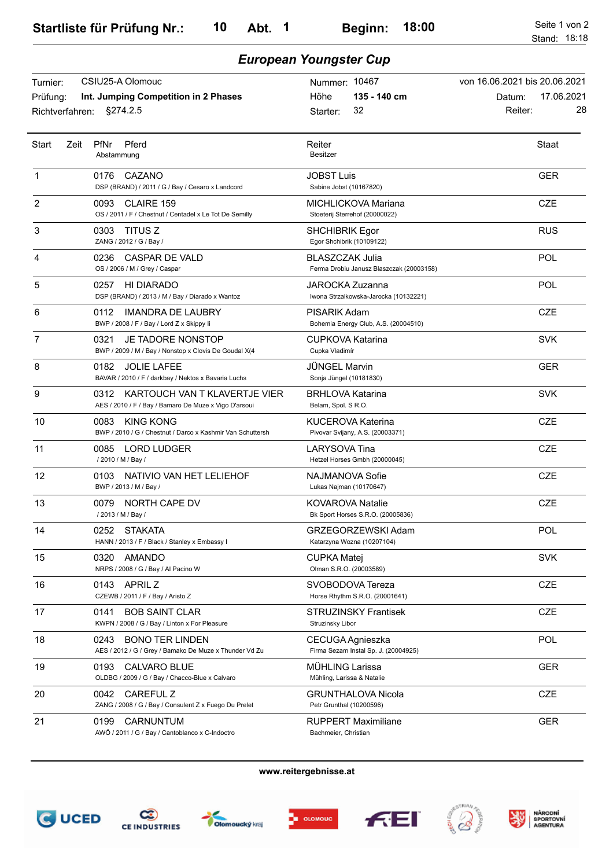*European Youngster Cup*

## Turnier: CSIU25-A Olomouc Prüfung: Starter: Nummer: 10467 Richtverfahren: §274.2.5 **135 - 140 cm** 32 **Int. Jumping Competition in 2 Phases** von 16.06.2021 bis 20.06.2021 Datum: 17.06.2021 Reiter: 28 Höhe Abstammung Start Zeit PfNr Pferd **Reiter** Reiter Besitzer Staat 1 0176 CAZANO DSP (BRAND) / 2011 / G / Bay / Cesaro x Landcord **JOBST Luis** Sabine Jobst (10167820) GER 2 0093 OS / 2011 / F / Chestnut / Centadel x Le Tot De Semilly CLAIRE 159 MICHLICKOVA Mariana Stoeterij Sterrehof (20000022) **CZE**  3 0303 ZANG / 2012 / G / Bay / TITUS Z SHCHIBRIK Egor Egor Shchibrik (10109122) RUS 4 0236 CASPAR DE VALD BLASZCZAK Julia OS / 2006 / M / Grey / Caspar Ferma Drobiu Janusz Blaszczak (20003158) POL 5 0257 HI DIARADO DSP (BRAND) / 2013 / M / Bay / Diarado x Wantoz JAROCKA Zuzanna Iwona Strzalkowska-Jarocka (10132221) POL 6 0112 IMANDRA DE LAUBRY PISARIK Adam BWP / 2008 / F / Bay / Lord Z x Skippy Ii Bohemia Energy Club, A.S. (20004510) C<sub>ZE</sub> 7 0321 BWP / 2009 / M / Bay / Nonstop x Clovis De Goudal X(4 JE TADORE NONSTOP CUPKOVA Katarina Cupka Vladimír SVK 8 0182 BAVAR / 2010 / F / darkbay / Nektos x Bavaria Luchs JOLIE LAFEE JÜNGEL Marvin Sonja Jüngel (10181830) GER 9 0312 KARTOUCH VAN T KLAVERTJE VIER BRHLOVA Katarina AES / 2010 / F / Bay / Bamaro De Muze x Vigo D'arsoui Belam, Spol. S R.O. SVK 10 0083 BWP / 2010 / G / Chestnut / Darco x Kashmir Van Schuttersh KING KONG **KUCEROVA Katerina** Pivovar Svijany, A.S. (20003371) **CZE** 11 0085 LORD LUDGER / 2010 / M / Bay / LARYSOVA Tina Hetzel Horses Gmbh (20000045) **CZE**  12 0103 NATIVIO VAN HET LELIEHOF NAJMANOVA Sofie BWP / 2013 / M / Bay / Lukas Najman (10170647) **CZE**  13 0079 / 2013 / M / Bay / NORTH CAPE DV KOVAROVA Natalie Bk Sport Horses S.R.O. (20005836) **CZE**  14 0252 HANN / 2013 / F / Black / Stanley x Embassy I STAKATA GRZEGORZEWSKI Adam Katarzyna Wozna (10207104) POL 15 0320 AMANDO NRPS / 2008 / G / Bay / Al Pacino W **CUPKA Matej** Olman S.R.O. (20003589) SVK 16 0143 APRIL Z CZEWB / 2011 / F / Bay / Aristo Z SVOBODOVA Tereza Horse Rhythm S.R.O. (20001641) **CZE**  17 0141 KWPN / 2008 / G / Bay / Linton x For Pleasure BOB SAINT CLAR STRUZINSKY Frantisek Struzinsky Libor **CZE**  18 0243 AES / 2012 / G / Grey / Bamako De Muze x Thunder Vd Zu BONO TER LINDEN CECUGA Agnieszka Firma Sezam Instal Sp. J. (20004925) POL 19 0193 OLDBG / 2009 / G / Bay / Chacco-Blue x Calvaro CALVARO BLUE MÜHLING Larissa Mühling, Larissa & Natalie GER 20 0042 ZANG / 2008 / G / Bay / Consulent Z x Fuego Du Prelet CAREFUL Z GRUNTHALOVA Nicola Petr Grunthal (10200596) **CZE**  21 0199 AWÖ / 2011 / G / Bay / Cantoblanco x C-Indoctro CARNUNTUM RUPPERT Maximiliane Bachmeier, Christian GER

**www.reitergebnisse.at**





Olomoucký kraj